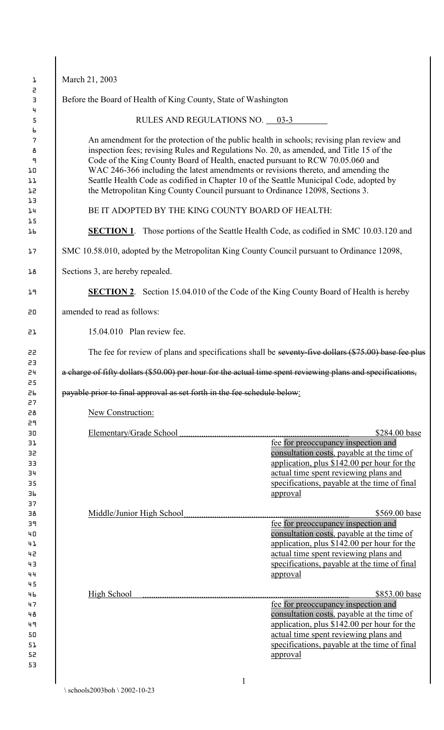| March 21, 2003                                                          |                                                                                                                                                                                                                                                                                                                                                                                                                                                                                                                                          |
|-------------------------------------------------------------------------|------------------------------------------------------------------------------------------------------------------------------------------------------------------------------------------------------------------------------------------------------------------------------------------------------------------------------------------------------------------------------------------------------------------------------------------------------------------------------------------------------------------------------------------|
|                                                                         |                                                                                                                                                                                                                                                                                                                                                                                                                                                                                                                                          |
| Before the Board of Health of King County, State of Washington          |                                                                                                                                                                                                                                                                                                                                                                                                                                                                                                                                          |
|                                                                         | RULES AND REGULATIONS NO. 03-3                                                                                                                                                                                                                                                                                                                                                                                                                                                                                                           |
|                                                                         | An amendment for the protection of the public health in schools; revising plan review and<br>inspection fees; revising Rules and Regulations No. 20, as amended, and Title 15 of the<br>Code of the King County Board of Health, enacted pursuant to RCW 70.05.060 and<br>WAC 246-366 including the latest amendments or revisions thereto, and amending the<br>Seattle Health Code as codified in Chapter 10 of the Seattle Municipal Code, adopted by<br>the Metropolitan King County Council pursuant to Ordinance 12098, Sections 3. |
|                                                                         | BE IT ADOPTED BY THE KING COUNTY BOARD OF HEALTH:                                                                                                                                                                                                                                                                                                                                                                                                                                                                                        |
|                                                                         | <b>SECTION 1.</b> Those portions of the Seattle Health Code, as codified in SMC 10.03.120 and                                                                                                                                                                                                                                                                                                                                                                                                                                            |
|                                                                         | SMC 10.58.010, adopted by the Metropolitan King County Council pursuant to Ordinance 12098,                                                                                                                                                                                                                                                                                                                                                                                                                                              |
| Sections 3, are hereby repealed.                                        |                                                                                                                                                                                                                                                                                                                                                                                                                                                                                                                                          |
|                                                                         | <b>SECTION 2.</b> Section 15.04.010 of the Code of the King County Board of Health is hereby                                                                                                                                                                                                                                                                                                                                                                                                                                             |
| amended to read as follows:                                             |                                                                                                                                                                                                                                                                                                                                                                                                                                                                                                                                          |
| 15.04.010 Plan review fee.                                              |                                                                                                                                                                                                                                                                                                                                                                                                                                                                                                                                          |
|                                                                         | The fee for review of plans and specifications shall be seventy-five dollars (\$75.00) base fee plus                                                                                                                                                                                                                                                                                                                                                                                                                                     |
|                                                                         | a charge of fifty dollars (\$50.00) per hour for the actual time spent reviewing plans and specifications,                                                                                                                                                                                                                                                                                                                                                                                                                               |
| payable prior to final approval as set forth in the fee schedule below: |                                                                                                                                                                                                                                                                                                                                                                                                                                                                                                                                          |
| New Construction:                                                       |                                                                                                                                                                                                                                                                                                                                                                                                                                                                                                                                          |
| Elementary/Grade School                                                 | \$284.00 base<br>fee for preoccupancy inspection and<br>consultation costs, payable at the time of<br>application, plus \$142.00 per hour for the                                                                                                                                                                                                                                                                                                                                                                                        |
|                                                                         | actual time spent reviewing plans and<br>specifications, payable at the time of final<br><u>approval</u>                                                                                                                                                                                                                                                                                                                                                                                                                                 |
| Middle/Junior High School                                               |                                                                                                                                                                                                                                                                                                                                                                                                                                                                                                                                          |
| High School                                                             | \$569.00 base<br>fee for preoccupancy inspection and<br>consultation costs, payable at the time of<br>application, plus \$142.00 per hour for the<br>actual time spent reviewing plans and<br>specifications, payable at the time of final<br>approval<br>\$853.00 base<br>fee for preoccupancy inspection and                                                                                                                                                                                                                           |